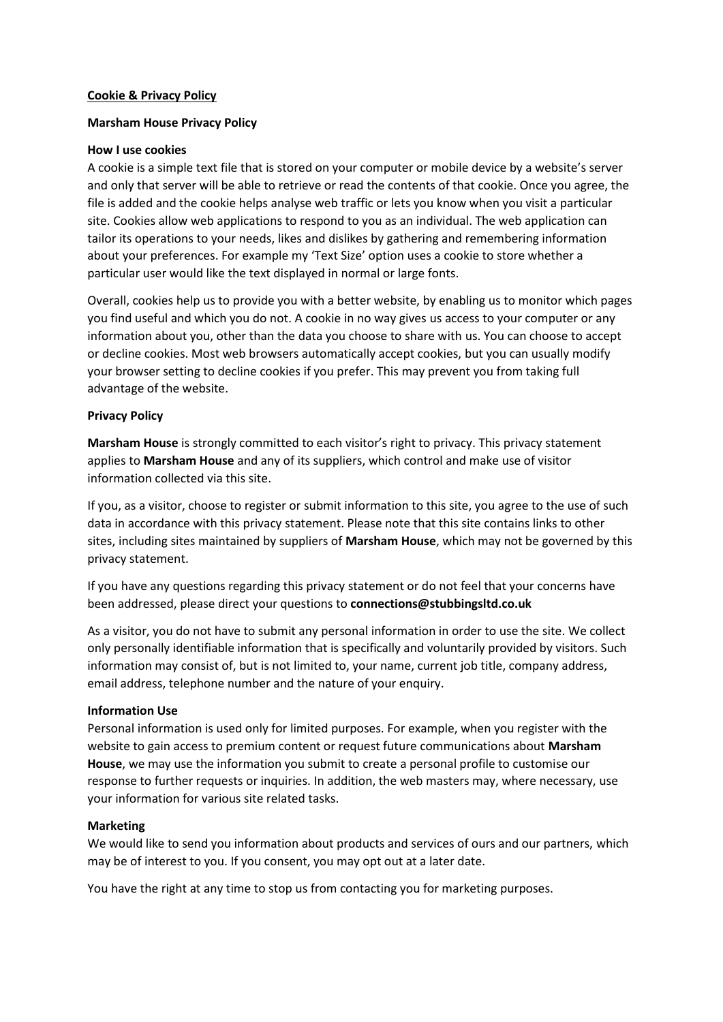### **Cookie & Privacy Policy**

## **Marsham House Privacy Policy**

#### **How I use cookies**

A cookie is a simple text file that is stored on your computer or mobile device by a website's server and only that server will be able to retrieve or read the contents of that cookie. Once you agree, the file is added and the cookie helps analyse web traffic or lets you know when you visit a particular site. Cookies allow web applications to respond to you as an individual. The web application can tailor its operations to your needs, likes and dislikes by gathering and remembering information about your preferences. For example my 'Text Size' option uses a cookie to store whether a particular user would like the text displayed in normal or large fonts.

Overall, cookies help us to provide you with a better website, by enabling us to monitor which pages you find useful and which you do not. A cookie in no way gives us access to your computer or any information about you, other than the data you choose to share with us. You can choose to accept or decline cookies. Most web browsers automatically accept cookies, but you can usually modify your browser setting to decline cookies if you prefer. This may prevent you from taking full advantage of the website.

### **Privacy Policy**

**Marsham House** is strongly committed to each visitor's right to privacy. This privacy statement applies to **Marsham House** and any of its suppliers, which control and make use of visitor information collected via this site.

If you, as a visitor, choose to register or submit information to this site, you agree to the use of such data in accordance with this privacy statement. Please note that this site contains links to other sites, including sites maintained by suppliers of **Marsham House**, which may not be governed by this privacy statement.

If you have any questions regarding this privacy statement or do not feel that your concerns have been addressed, please direct your questions to **connections@stubbingsltd.co.uk**

As a visitor, you do not have to submit any personal information in order to use the site. We collect only personally identifiable information that is specifically and voluntarily provided by visitors. Such information may consist of, but is not limited to, your name, current job title, company address, email address, telephone number and the nature of your enquiry.

#### **Information Use**

Personal information is used only for limited purposes. For example, when you register with the website to gain access to premium content or request future communications about **Marsham House**, we may use the information you submit to create a personal profile to customise our response to further requests or inquiries. In addition, the web masters may, where necessary, use your information for various site related tasks.

#### **Marketing**

We would like to send you information about products and services of ours and our partners, which may be of interest to you. If you consent, you may opt out at a later date.

You have the right at any time to stop us from contacting you for marketing purposes.